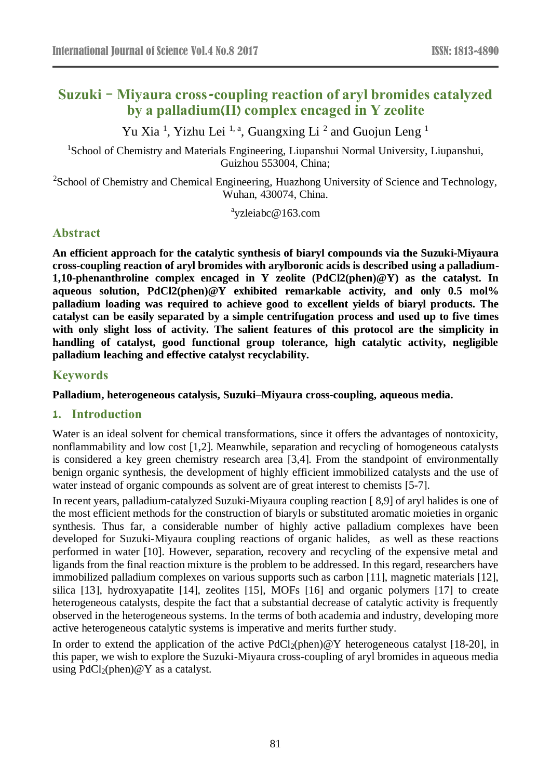# **Suzuki**–**Miyaura cross-coupling reaction of aryl bromides catalyzed by a palladium(II) complex encaged in Y zeolite**

Yu Xia<sup>1</sup>, Yizhu Lei<sup>1, a</sup>, Guangxing Li<sup>2</sup> and Guojun Leng<sup>1</sup>

<sup>1</sup>School of Chemistry and Materials Engineering, Liupanshui Normal University, Liupanshui, Guizhou 553004, China;

<sup>2</sup>School of Chemistry and Chemical Engineering, Huazhong University of Science and Technology, Wuhan, 430074, China.

a yzleiabc@163.com

## **Abstract**

**An efficient approach for the catalytic synthesis of biaryl compounds via the Suzuki-Miyaura cross-coupling reaction of aryl bromides with arylboronic acids is described using a palladium-1,10-phenanthroline complex encaged in Y zeolite (PdCl2(phen)@Y) as the catalyst. In aqueous solution, PdCl2(phen)@Y exhibited remarkable activity, and only 0.5 mol% palladium loading was required to achieve good to excellent yields of biaryl products. The catalyst can be easily separated by a simple centrifugation process and used up to five times with only slight loss of activity. The salient features of this protocol are the simplicity in handling of catalyst, good functional group tolerance, high catalytic activity, negligible palladium leaching and effective catalyst recyclability.**

### **Keywords**

**Palladium, heterogeneous catalysis, Suzuki–Miyaura cross-coupling, aqueous media.** 

### **1. Introduction**

Water is an ideal solvent for chemical transformations, since it offers the advantages of nontoxicity, nonflammability and low cost [1,2]. Meanwhile, separation and recycling of homogeneous catalysts is considered a key green chemistry research area [3,4]. From the standpoint of environmentally benign organic synthesis, the development of highly efficient immobilized catalysts and the use of water instead of organic compounds as solvent are of great interest to chemists [5-7].

In recent years, palladium-catalyzed Suzuki-Miyaura coupling reaction [ 8,9] of aryl halides is one of the most efficient methods for the construction of biaryls or substituted aromatic moieties in organic synthesis. Thus far, a considerable number of highly active palladium complexes have been developed for Suzuki-Miyaura coupling reactions of organic halides, as well as these reactions performed in water [10]. However, separation, recovery and recycling of the expensive metal and ligands from the final reaction mixture is the problem to be addressed. In this regard, researchers have immobilized palladium complexes on various supports such as carbon [11], magnetic materials [12], silica [13], hydroxyapatite [14], zeolites [15], MOFs [16] and organic polymers [17] to create heterogeneous catalysts, despite the fact that a substantial decrease of catalytic activity is frequently observed in the heterogeneous systems. In the terms of both academia and industry, developing more active heterogeneous catalytic systems is imperative and merits further study.

In order to extend the application of the active  $PdCl<sub>2</sub>(phen)@Y$  heterogeneous catalyst [18-20], in this paper, we wish to explore the Suzuki-Miyaura cross-coupling of aryl bromides in aqueous media using  $PdCl_2(phen) @ Y$  as a catalyst.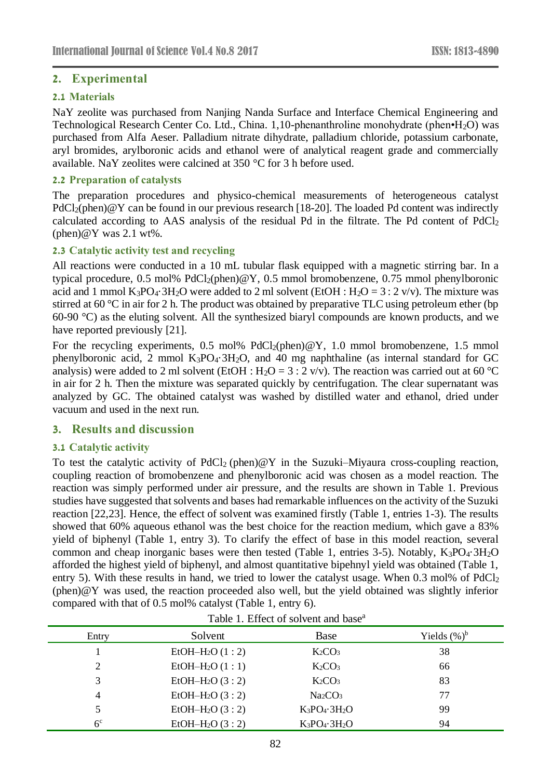### **2. Experimental**

### **2.1 Materials**

NaY zeolite was purchased from Nanjing Nanda Surface and Interface Chemical Engineering and Technological Research Center Co. Ltd., China. 1,10-phenanthroline monohydrate (phen•H<sub>2</sub>O) was purchased from Alfa Aeser. Palladium nitrate dihydrate, palladium chloride, potassium carbonate, aryl bromides, arylboronic acids and ethanol were of analytical reagent grade and commercially available. NaY zeolites were calcined at 350  $\mathcal C$  for 3 h before used.

#### **2.2 Preparation of catalysts**

The preparation procedures and physico-chemical measurements of heterogeneous catalyst  $PdCl<sub>2</sub>(phen) @ Y can be found in our previous research [18-20]. The loaded Pd content was indirectly$ calculated according to AAS analysis of the residual Pd in the filtrate. The Pd content of  $PdCl<sub>2</sub>$  $(phen) @ Y was 2.1 wt\%$ .

### **2.3 Catalytic activity test and recycling**

All reactions were conducted in a 10 mL tubular flask equipped with a magnetic stirring bar. In a typical procedure, 0.5 mol%  $PdCl<sub>2</sub>(phen)@Y, 0.5 mmol bromobenzene, 0.75 mmol phenylboronic$ acid and 1 mmol  $K_3PO_4\ 3H_2O$  were added to 2 ml solvent (EtOH :  $H_2O = 3:2$  v/v). The mixture was stirred at 60  $\degree$  C in air for 2 h. The product was obtained by preparative TLC using petroleum ether (bp 60-90 °C) as the eluting solvent. All the synthesized biaryl compounds are known products, and we have reported previously [21].

For the recycling experiments, 0.5 mol%  $PdCl_2(phen) @Y, 1.0 \text{ mmol bromobenzene}, 1.5 \text{ mmol}$ phenylboronic acid, 2 mmol  $K_3PO_4\,3H_2O$ , and 40 mg naphthaline (as internal standard for GC analysis) were added to 2 ml solvent (EtOH : H<sub>2</sub>O = 3 : 2 v/v). The reaction was carried out at 60 °C in air for 2 h. Then the mixture was separated quickly by centrifugation. The clear supernatant was analyzed by GC. The obtained catalyst was washed by distilled water and ethanol, dried under vacuum and used in the next run.

### **3. Results and discussion**

#### **3.1 Catalytic activity**

To test the catalytic activity of  $PdCl_2$  (phen)  $\omega Y$  in the Suzuki–Miyaura cross-coupling reaction, coupling reaction of bromobenzene and phenylboronic acid was chosen as a model reaction. The reaction was simply performed under air pressure, and the results are shown in Table 1. Previous studies have suggested that solvents and bases had remarkable influences on the activity of the Suzuki reaction [22,23]. Hence, the effect of solvent was examined firstly (Table 1, entries 1-3). The results showed that 60% aqueous ethanol was the best choice for the reaction medium, which gave a 83% yield of biphenyl (Table 1, entry 3). To clarify the effect of base in this model reaction, several common and cheap inorganic bases were then tested (Table 1, entries 3-5). Notably,  $K_3PO_4\cdot 3H_2O$ afforded the highest yield of biphenyl, and almost quantitative bipehnyl yield was obtained (Table 1, entry 5). With these results in hand, we tried to lower the catalyst usage. When 0.3 mol% of PdCl<sub>2</sub> (phen)@Y was used, the reaction proceeded also well, but the yield obtained was slightly inferior compared with that of 0.5 mol% catalyst (Table 1, entry 6).

| Entry          | Solvent           | Base                            | Yields $(\%)^b$ |
|----------------|-------------------|---------------------------------|-----------------|
|                | $EtOH-H2O (1:2)$  | $K_2CO_3$                       | 38              |
| 2              | $EtOH-H2O (1:1)$  | K <sub>2</sub> CO <sub>3</sub>  | 66              |
| 3              | EtOH $-H_2O(3:2)$ | K <sub>2</sub> CO <sub>3</sub>  | 83              |
| 4              | EtOH $-H_2O(3:2)$ | Na <sub>2</sub> CO <sub>3</sub> | 77              |
|                | $EtOH-H2O (3:2)$  | $K_3PO_4$ 3H <sub>2</sub> O     | 99              |
| 6 <sup>c</sup> | $EtOH-H2O (3:2)$  | $K_3PO_4$ $3H_2O$               | 94              |

Table 1. Effect of solvent and base<sup>a</sup>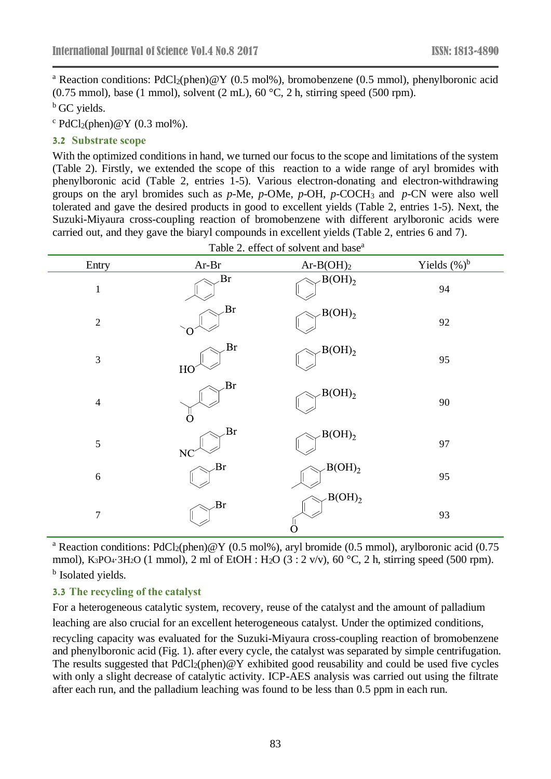<sup>a</sup> Reaction conditions: PdCl<sub>2</sub>(phen)@Y (0.5 mol%), bromobenzene (0.5 mmol), phenylboronic acid  $(0.75 \text{ mmol})$ , base (1 mmol), solvent (2 mL), 60 °C, 2 h, stirring speed (500 rpm).

 $<sup>b</sup>$  GC vields.</sup>

 $c$  PdCl<sub>2</sub>(phen)@Y (0.3 mol%).

#### **3.2 Substrate scope**

With the optimized conditions in hand, we turned our focus to the scope and limitations of the system (Table 2). Firstly, we extended the scope of this reaction to a wide range of aryl bromides with phenylboronic acid (Table 2, entries 1-5). Various electron-donating and electron-withdrawing groups on the aryl bromides such as *p*-Me, *p*-OMe, *p*-OH, *p*-COCH<sup>3</sup> and *p*-CN were also well tolerated and gave the desired products in good to excellent yields (Table 2, entries 1-5). Next, the Suzuki-Miyaura cross-coupling reaction of bromobenzene with different arylboronic acids were carried out, and they gave the biaryl compounds in excellent yields (Table 2, entries 6 and 7).

| Entry            | $Ar-Br$         | $Ar-B(OH)2$        | Yields $(\%)^b$ |
|------------------|-----------------|--------------------|-----------------|
| $\,1$            | Br              | $B(OH)_2$          | 94              |
| $\sqrt{2}$       | Br              | $-B(OH)_2$         | 92              |
| $\mathfrak{Z}$   | Br<br>HO        | B(OH) <sub>2</sub> | 95              |
| $\overline{4}$   | Br              | $B(OH)_2$          | 90              |
| $\sqrt{5}$       | Br<br><b>NC</b> | B(OH) <sub>2</sub> | 97              |
| $\sqrt{6}$       | Br              | B(OH) <sub>2</sub> | 95              |
| $\boldsymbol{7}$ | Br              | $B(OH)_2$<br>∩     | 93              |

Table 2. effect of solvent and base<sup>a</sup>

<sup>a</sup> Reaction conditions: PdCl<sub>2</sub>(phen)@Y (0.5 mol%), aryl bromide (0.5 mmol), arylboronic acid (0.75 mmol), K<sub>3</sub>PO<sub>4</sub> 3H<sub>2</sub>O (1 mmol), 2 ml of EtOH : H<sub>2</sub>O (3 : 2 v/v), 60 °C, 2 h, stirring speed (500 rpm). <sup>b</sup> Isolated yields.

### **3.3 The recycling of the catalyst**

For a heterogeneous catalytic system, recovery, reuse of the catalyst and the amount of palladium leaching are also crucial for an excellent heterogeneous catalyst. Under the optimized conditions,

recycling capacity was evaluated for the Suzuki-Miyaura cross-coupling reaction of bromobenzene and phenylboronic acid (Fig. 1). after every cycle, the catalyst was separated by simple centrifugation. The results suggested that  $PdCl_2(phen) @ Y$  exhibited good reusability and could be used five cycles with only a slight decrease of catalytic activity. ICP-AES analysis was carried out using the filtrate after each run, and the palladium leaching was found to be less than 0.5 ppm in each run.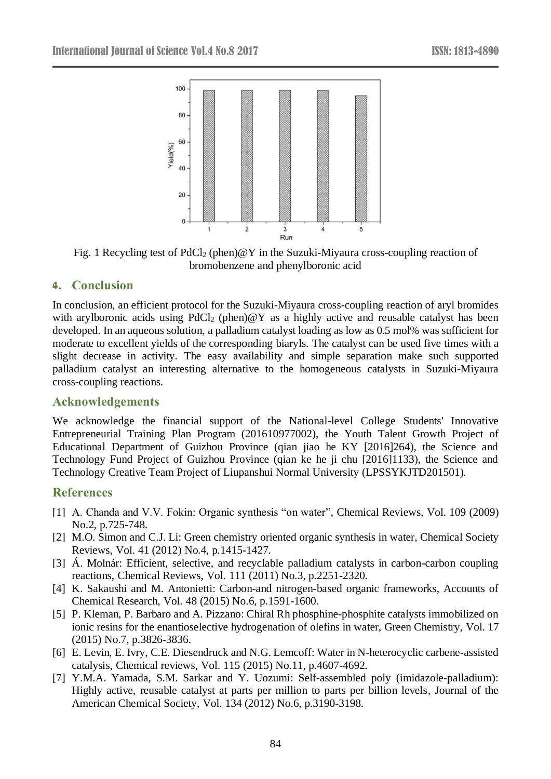

Fig. 1 Recycling test of  $PdCl_2$  (phen)  $\mathscr{A}Y$  in the Suzuki-Miyaura cross-coupling reaction of bromobenzene and phenylboronic acid

### **4. Conclusion**

In conclusion, an efficient protocol for the Suzuki-Miyaura cross-coupling reaction of aryl bromides with arylboronic acids using  $PdCl_2$  (phen) $@Y$  as a highly active and reusable catalyst has been developed. In an aqueous solution, a palladium catalyst loading as low as 0.5 mol% was sufficient for moderate to excellent yields of the corresponding biaryls. The catalyst can be used five times with a slight decrease in activity. The easy availability and simple separation make such supported palladium catalyst an interesting alternative to the homogeneous catalysts in Suzuki-Miyaura cross-coupling reactions.

#### **Acknowledgements**

We acknowledge the financial support of the National-level College Students' Innovative Entrepreneurial Training Plan Program (201610977002), the Youth Talent Growth Project of Educational Department of Guizhou Province (qian jiao he KY [2016]264), the Science and Technology Fund Project of Guizhou Province (qian ke he ji chu [2016]1133), the Science and Technology Creative Team Project of Liupanshui Normal University (LPSSYKJTD201501).

### **References**

- [1] A. Chanda and V.V. Fokin: Organic synthesis "on water", Chemical Reviews, Vol. 109 (2009) No.2, p.725-748.
- [2] M.O. Simon and C.J. Li: Green chemistry oriented organic synthesis in water, Chemical Society Reviews, Vol. 41 (2012) No.4, p.1415-1427.
- [3] Á. Molnár: Efficient, selective, and recyclable palladium catalysts in carbon-carbon coupling reactions, Chemical Reviews, Vol. 111 (2011) No.3, p.2251-2320.
- [4] K. Sakaushi and M. Antonietti: Carbon-and nitrogen-based organic frameworks, Accounts of Chemical Research, Vol. 48 (2015) No.6, p.1591-1600.
- [5] P. Kleman, P. Barbaro and A. Pizzano: Chiral Rh phosphine-phosphite catalysts immobilized on ionic resins for the enantioselective hydrogenation of olefins in water, Green Chemistry, Vol. 17 (2015) No.7, p.3826-3836.
- [6] E. Levin, E. Ivry, C.E. Diesendruck and N.G. Lemcoff: Water in N-heterocyclic carbene-assisted catalysis, Chemical reviews, Vol. 115 (2015) No.11, p.4607-4692.
- [7] Y.M.A. Yamada, S.M. Sarkar and Y. Uozumi: Self-assembled poly (imidazole-palladium): Highly active, reusable catalyst at parts per million to parts per billion levels, Journal of the American Chemical Society, Vol. 134 (2012) No.6, p.3190-3198.